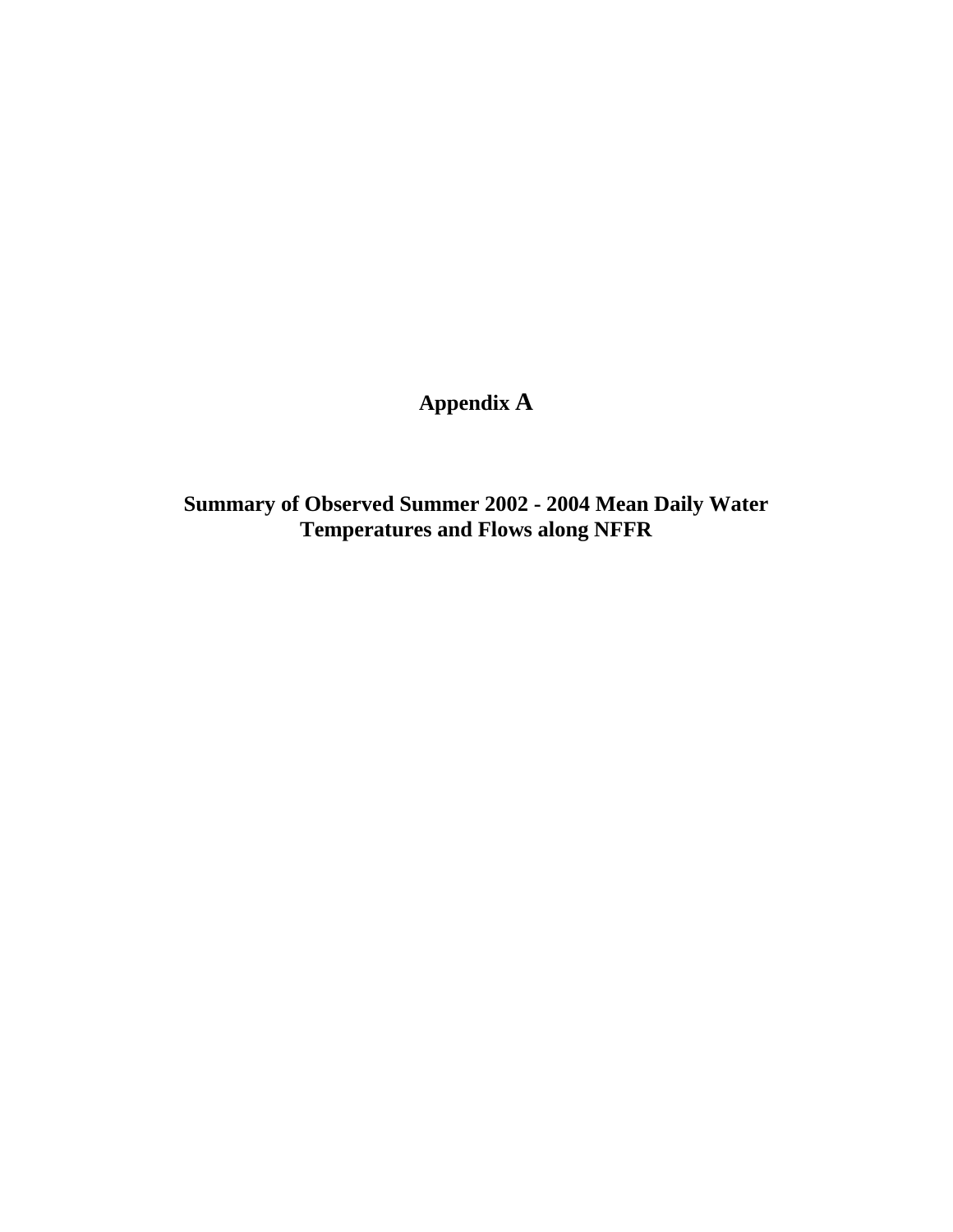**Appendix A**

**Summary of Observed Summer 2002 - 2004 Mean Daily Water Temperatures and Flows along NFFR**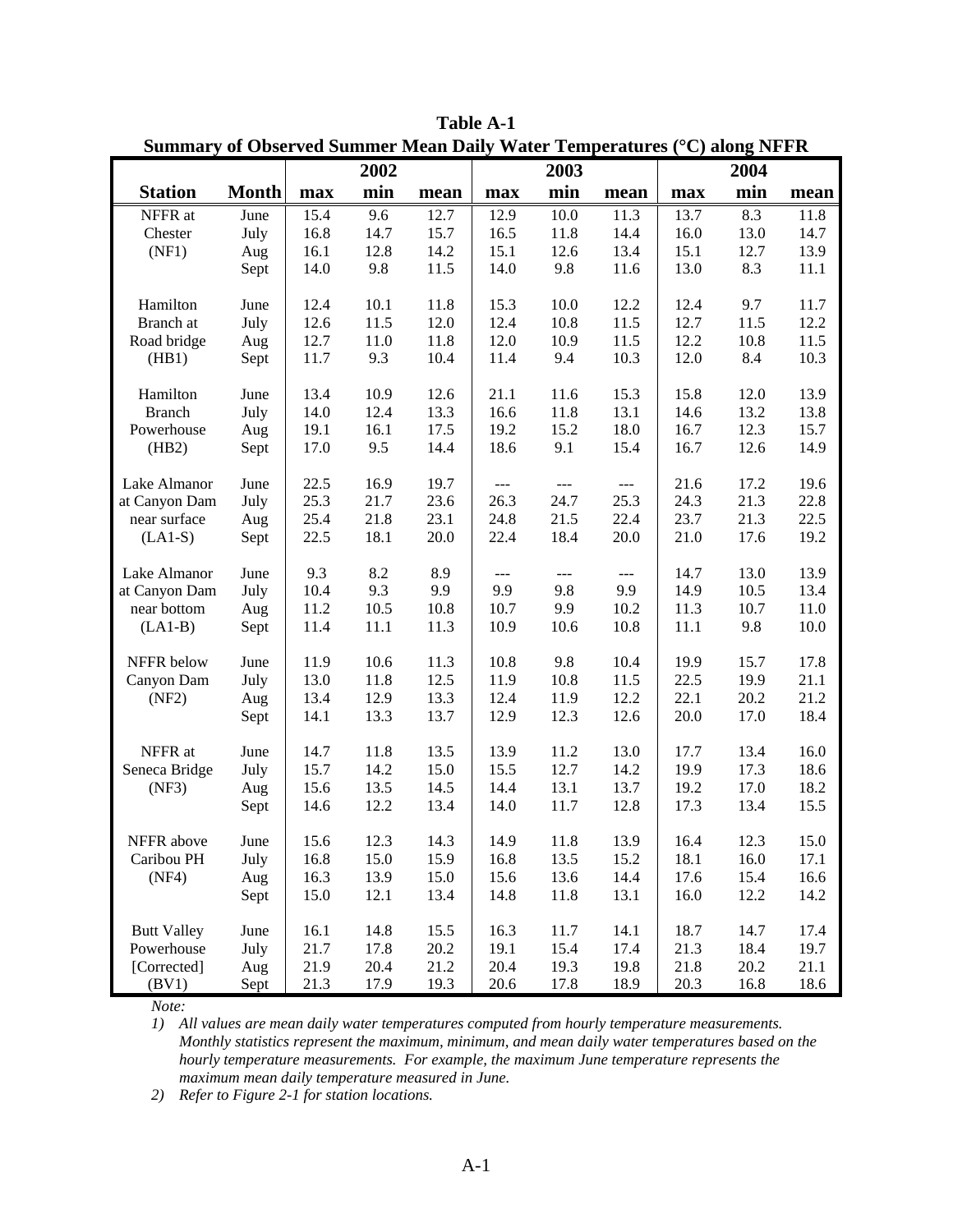|                          |              |              | 2002         | of Observed Summer Mean Dany |              | 2003         | $\frac{1}{2}$        |              | 2004         |              |
|--------------------------|--------------|--------------|--------------|------------------------------|--------------|--------------|----------------------|--------------|--------------|--------------|
| <b>Station</b>           |              |              |              |                              |              |              |                      |              |              |              |
|                          | <b>Month</b> | max          | min          | mean                         | max          | min          | mean                 | max          | min          | mean         |
| NFFR at                  | June         | 15.4         | 9.6          | 12.7                         | 12.9         | 10.0         | 11.3                 | 13.7         | 8.3          | 11.8         |
| Chester                  | July         | 16.8         | 14.7         | 15.7                         | 16.5<br>15.1 | 11.8         | 14.4                 | 16.0         | 13.0         | 14.7         |
| (NF1)                    | Aug<br>Sept  | 16.1<br>14.0 | 12.8<br>9.8  | 14.2<br>11.5                 | 14.0         | 12.6<br>9.8  | 13.4<br>11.6         | 15.1<br>13.0 | 12.7<br>8.3  | 13.9<br>11.1 |
|                          |              |              |              |                              |              |              |                      |              |              |              |
| Hamilton                 | June         | 12.4         | 10.1         | 11.8                         | 15.3         | 10.0         | 12.2                 | 12.4         | 9.7          | 11.7         |
| Branch at                | July         | 12.6         | 11.5         | 12.0                         | 12.4         | 10.8         | 11.5                 | 12.7         | 11.5         | 12.2         |
| Road bridge              | Aug          | 12.7         | 11.0         | 11.8                         | 12.0         | 10.9         | 11.5                 | 12.2         | 10.8         | 11.5         |
| (HB1)                    | Sept         | 11.7         | 9.3          | 10.4                         | 11.4         | 9.4          | 10.3                 | 12.0         | 8.4          | 10.3         |
| Hamilton                 | June         | 13.4         | 10.9         | 12.6                         | 21.1         | 11.6         | 15.3                 | 15.8         | 12.0         | 13.9         |
| <b>Branch</b>            | July         | 14.0         | 12.4         | 13.3                         | 16.6         | 11.8         | 13.1                 | 14.6         | 13.2         | 13.8         |
| Powerhouse               | Aug          | 19.1         | 16.1         | 17.5                         | 19.2         | 15.2         | 18.0                 | 16.7         | 12.3         | 15.7         |
| (HB2)                    | Sept         | 17.0         | 9.5          | 14.4                         | 18.6         | 9.1          | 15.4                 | 16.7         | 12.6         | 14.9         |
| Lake Almanor             | June         | 22.5         | 16.9         | 19.7                         | $---$        | $---$        | $\sim$ $\sim$        | 21.6         | 17.2         | 19.6         |
| at Canyon Dam            | July         | 25.3         | 21.7         | 23.6                         | 26.3         | 24.7         | 25.3                 | 24.3         | 21.3         | 22.8         |
| near surface             | Aug          | 25.4         | 21.8         | 23.1                         | 24.8         | 21.5         | 22.4                 | 23.7         | 21.3         | 22.5         |
| $(LA1-S)$                | Sept         | 22.5         | 18.1         | 20.0                         | 22.4         | 18.4         | 20.0                 | 21.0         | 17.6         | 19.2         |
| Lake Almanor             | June         | 9.3          | 8.2          | 8.9                          | $---$        | $---$        | $\sim$ $\sim$ $\sim$ | 14.7         | 13.0         | 13.9         |
| at Canyon Dam            | July         | 10.4         | 9.3          | 9.9                          | 9.9          | 9.8          | 9.9                  | 14.9         | 10.5         | 13.4         |
| near bottom              | Aug          | 11.2         | 10.5         | 10.8                         | 10.7         | 9.9          | 10.2                 | 11.3         | 10.7         | 11.0         |
| $(LA1-B)$                | Sept         | 11.4         | 11.1         | 11.3                         | 10.9         | 10.6         | 10.8                 | 11.1         | 9.8          | 10.0         |
| NFFR below               | June         | 11.9         | 10.6         | 11.3                         | 10.8         | 9.8          | 10.4                 | 19.9         | 15.7         | 17.8         |
| Canyon Dam               | July         | 13.0         | 11.8         | 12.5                         | 11.9         | 10.8         | 11.5                 | 22.5         | 19.9         | 21.1         |
| (NF2)                    | Aug          | 13.4         | 12.9         | 13.3                         | 12.4         | 11.9         | 12.2                 | 22.1         | 20.2         | 21.2         |
|                          | Sept         | 14.1         | 13.3         | 13.7                         | 12.9         | 12.3         | 12.6                 | 20.0         | 17.0         | 18.4         |
| NFFR at                  | June         | 14.7         | 11.8         | 13.5                         | 13.9         | 11.2         | 13.0                 | 17.7         | 13.4         | 16.0         |
| Seneca Bridge            | July         | 15.7         | 14.2         | 15.0                         | 15.5         | 12.7         | 14.2                 | 19.9         | 17.3         | 18.6         |
| (NF3)                    | Aug          | 15.6         | 13.5         | 14.5                         | 14.4         | 13.1         | 13.7                 | 19.2         | 17.0         | 18.2         |
|                          | Sept         | 14.6         | 12.2         | 13.4                         | 14.0         | 11.7         | 12.8                 | 17.3         | 13.4         | 15.5         |
|                          |              |              |              |                              |              |              |                      |              |              |              |
| NFFR above<br>Caribou PH | June         | 15.6         | 12.3         | 14.3<br>15.9                 | 14.9         | 11.8         | 13.9                 | 16.4         | 12.3         | 15.0         |
| (NF4)                    | July         | 16.8         | 15.0         |                              | 16.8         | 13.5<br>13.6 | 15.2                 | 18.1         | 16.0         | 17.1         |
|                          | Aug<br>Sept  | 16.3<br>15.0 | 13.9<br>12.1 | 15.0<br>13.4                 | 15.6<br>14.8 | 11.8         | 14.4<br>13.1         | 17.6<br>16.0 | 15.4<br>12.2 | 16.6<br>14.2 |
|                          |              |              |              |                              |              |              |                      |              |              |              |
| <b>Butt Valley</b>       | June         | 16.1         | 14.8         | 15.5                         | 16.3         | 11.7         | 14.1                 | 18.7         | 14.7         | 17.4         |
| Powerhouse               | July         | 21.7         | 17.8         | 20.2                         | 19.1         | 15.4         | 17.4                 | 21.3         | 18.4         | 19.7         |
| [Corrected]              | Aug          | 21.9         | 20.4         | 21.2                         | 20.4         | 19.3         | 19.8                 | 21.8         | 20.2         | 21.1         |
| (BV1)                    | Sept         | 21.3         | 17.9         | 19.3                         | 20.6         | 17.8         | 18.9                 | 20.3         | 16.8         | 18.6         |

**Table A-1 Summary of Observed Summer Mean Daily Water Temperatures (**°**C) along NFFR** 

*Note:* 

*1) All values are mean daily water temperatures computed from hourly temperature measurements. Monthly statistics represent the maximum, minimum, and mean daily water temperatures based on the hourly temperature measurements. For example, the maximum June temperature represents the maximum mean daily temperature measured in June.* 

*2) Refer to Figure 2-1 for station locations.*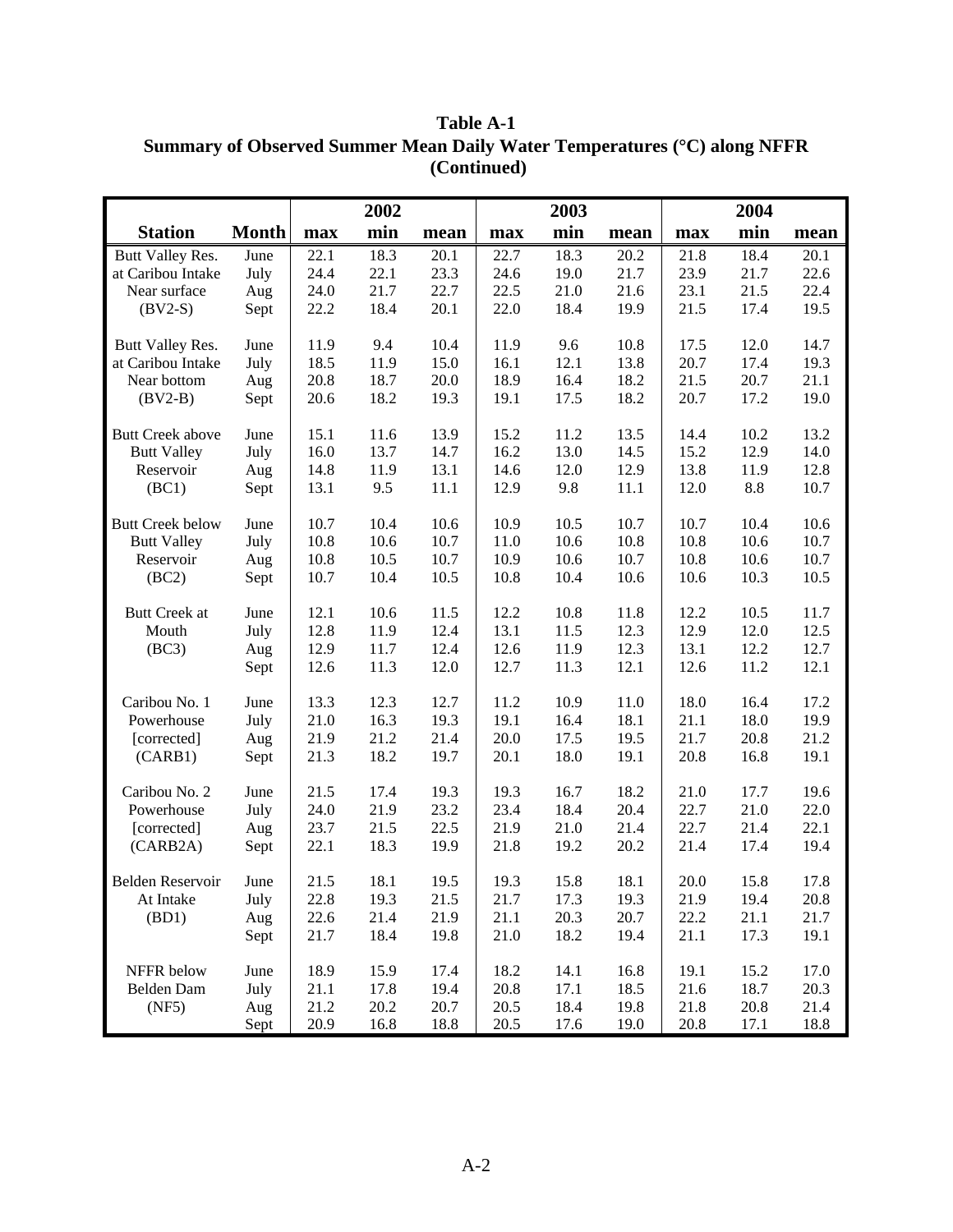|                         |              |              | 2002         |              |              | 2003 |      |              | 2004 |              |
|-------------------------|--------------|--------------|--------------|--------------|--------------|------|------|--------------|------|--------------|
| <b>Station</b>          | <b>Month</b> | max          | min          | mean         | max          | min  | mean | max          | min  | mean         |
| Butt Valley Res.        | June         | 22.1         | 18.3         | 20.1         | 22.7         | 18.3 | 20.2 | 21.8         | 18.4 | 20.1         |
| at Caribou Intake       | July         | 24.4         | 22.1         | 23.3         | 24.6         | 19.0 | 21.7 | 23.9         | 21.7 | 22.6         |
| Near surface            | Aug          | 24.0         | 21.7         | 22.7         | 22.5         | 21.0 | 21.6 | 23.1         | 21.5 | 22.4         |
| $(BV2-S)$               | Sept         | 22.2         | 18.4         | 20.1         | 22.0         | 18.4 | 19.9 | 21.5         | 17.4 | 19.5         |
| Butt Valley Res.        | June         | 11.9         | 9.4          | 10.4         | 11.9         | 9.6  | 10.8 | 17.5         | 12.0 | 14.7         |
| at Caribou Intake       | July         | 18.5         | 11.9         | 15.0         | 16.1         | 12.1 | 13.8 | 20.7         | 17.4 | 19.3         |
| Near bottom             | Aug          | 20.8         | 18.7         | 20.0         | 18.9         | 16.4 | 18.2 | 21.5         | 20.7 | 21.1         |
| $(BV2-B)$               | Sept         | 20.6         | 18.2         | 19.3         | 19.1         | 17.5 | 18.2 | 20.7         | 17.2 | 19.0         |
|                         |              |              |              |              |              |      |      |              |      |              |
| <b>Butt Creek above</b> | June         | 15.1         | 11.6         | 13.9         | 15.2         | 11.2 | 13.5 | 14.4         | 10.2 | 13.2         |
| <b>Butt Valley</b>      | July         | 16.0         | 13.7         | 14.7         | 16.2         | 13.0 | 14.5 | 15.2         | 12.9 | 14.0         |
| Reservoir               | Aug          | 14.8         | 11.9         | 13.1         | 14.6         | 12.0 | 12.9 | 13.8         | 11.9 | 12.8         |
| (BC1)                   | Sept         | 13.1         | 9.5          | 11.1         | 12.9         | 9.8  | 11.1 | 12.0         | 8.8  | 10.7         |
| <b>Butt Creek below</b> | June         | 10.7         | 10.4         | 10.6         | 10.9         | 10.5 | 10.7 | 10.7         | 10.4 | 10.6         |
| <b>Butt Valley</b>      | July         | 10.8         | 10.6         | 10.7         | 11.0         | 10.6 | 10.8 | 10.8         | 10.6 | 10.7         |
| Reservoir               | Aug          | 10.8         | 10.5         | 10.7         | 10.9         | 10.6 | 10.7 | 10.8         | 10.6 | 10.7         |
| (BC2)                   | Sept         | 10.7         | 10.4         | 10.5         | 10.8         | 10.4 | 10.6 | 10.6         | 10.3 | 10.5         |
|                         |              |              |              |              |              |      |      |              |      |              |
| <b>Butt Creek at</b>    | June         | 12.1         | 10.6         | 11.5         | 12.2         | 10.8 | 11.8 | 12.2         | 10.5 | 11.7         |
| Mouth                   | July         | 12.8         | 11.9         | 12.4         | 13.1         | 11.5 | 12.3 | 12.9         | 12.0 | 12.5         |
| (BC3)                   | Aug          | 12.9         | 11.7         | 12.4         | 12.6         | 11.9 | 12.3 | 13.1         | 12.2 | 12.7         |
|                         | Sept         | 12.6         | 11.3         | 12.0         | 12.7         | 11.3 | 12.1 | 12.6         | 11.2 | 12.1         |
| Caribou No. 1           | June         | 13.3         | 12.3         | 12.7         | 11.2         | 10.9 | 11.0 | 18.0         | 16.4 | 17.2         |
| Powerhouse              | July         | 21.0         | 16.3         | 19.3         | 19.1         | 16.4 | 18.1 | 21.1         | 18.0 | 19.9         |
| [corrected]             | Aug          | 21.9         | 21.2         | 21.4         | 20.0         | 17.5 | 19.5 | 21.7         | 20.8 | 21.2         |
| (CARB1)                 | Sept         | 21.3         | 18.2         | 19.7         | 20.1         | 18.0 | 19.1 | 20.8         | 16.8 | 19.1         |
|                         |              |              |              |              |              |      |      |              |      |              |
| Caribou No. 2           | June         | 21.5         | 17.4         | 19.3         | 19.3         | 16.7 | 18.2 | 21.0         | 17.7 | 19.6         |
| Powerhouse              | July         | 24.0         | 21.9         | 23.2         | 23.4         | 18.4 | 20.4 | 22.7         | 21.0 | 22.0         |
| [corrected]             | Aug          | 23.7         | 21.5         | 22.5         | 21.9         | 21.0 | 21.4 | 22.7         | 21.4 | 22.1         |
| (CARB2A)                | Sept         | 22.1         | 18.3         | 19.9         | 21.8         | 19.2 | 20.2 | 21.4         | 17.4 | 19.4         |
| Belden Reservoir        | June         | 21.5         | 18.1         | 19.5         | 19.3         | 15.8 | 18.1 | 20.0         | 15.8 | 17.8         |
| At Intake               | July         | 22.8         | 19.3         | 21.5         | 21.7         | 17.3 | 19.3 | 21.9         | 19.4 | 20.8         |
| (BD1)                   | Aug          | 22.6         | 21.4         | 21.9         | 21.1         | 20.3 | 20.7 | 22.2         | 21.1 | 21.7         |
|                         | Sept         | 21.7         | 18.4         | 19.8         | 21.0         | 18.2 | 19.4 | 21.1         | 17.3 | 19.1         |
|                         |              |              |              |              |              |      |      |              |      |              |
| NFFR below              | June         | 18.9         | 15.9         | 17.4         | 18.2         | 14.1 | 16.8 | 19.1         | 15.2 | 17.0         |
| Belden Dam              | July         | 21.1         | 17.8         | 19.4         | 20.8         | 17.1 | 18.5 | 21.6         | 18.7 | 20.3         |
| (NF5)                   | Aug          | 21.2<br>20.9 | 20.2<br>16.8 | 20.7<br>18.8 | 20.5<br>20.5 | 18.4 | 19.8 | 21.8<br>20.8 | 20.8 | 21.4<br>18.8 |
|                         | Sept         |              |              |              |              | 17.6 | 19.0 |              | 17.1 |              |

**Table A-1 Summary of Observed Summer Mean Daily Water Temperatures (**°**C) along NFFR (Continued)**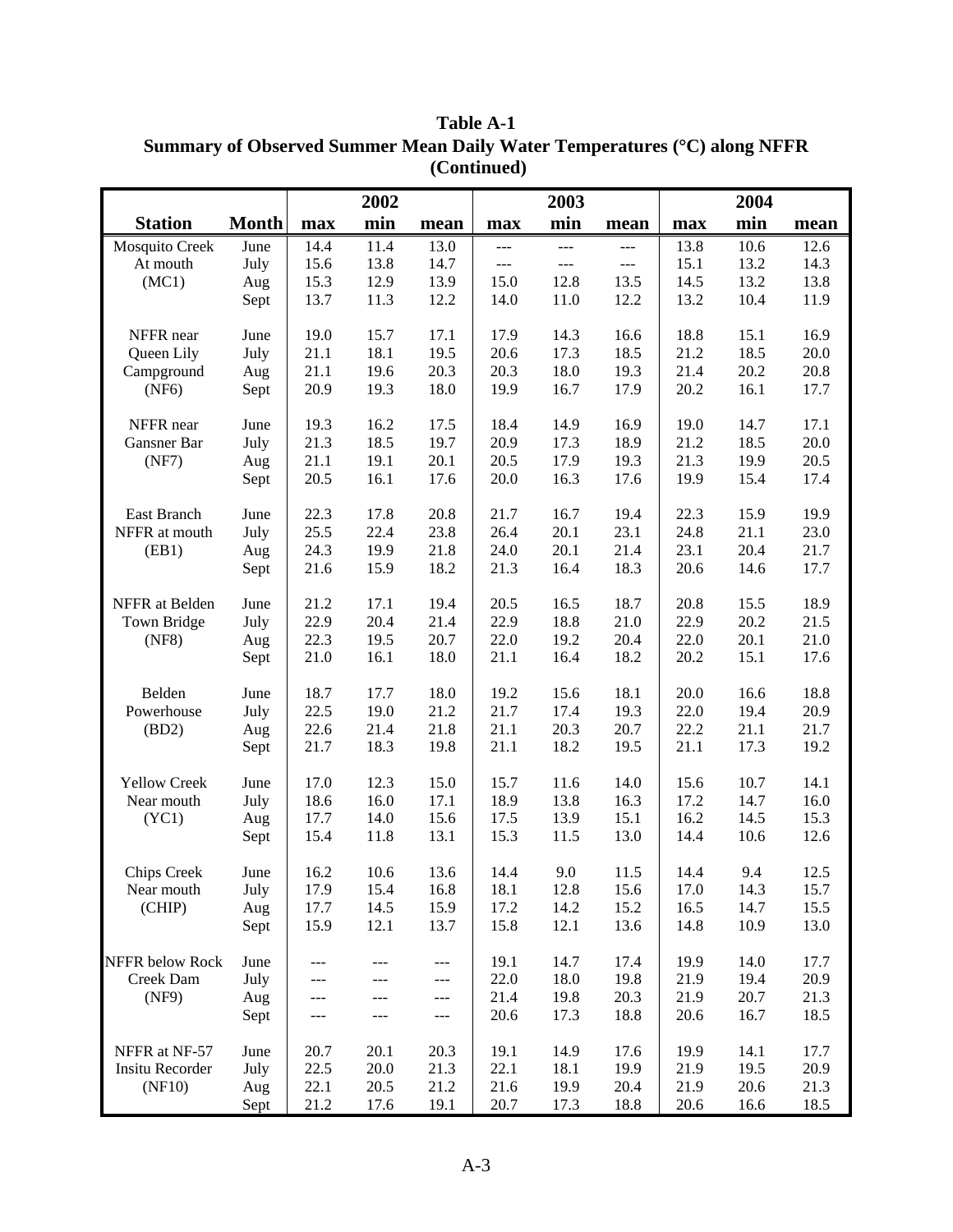|                        |              |              | 2002         |              |                | 2003           |              |              | 2004         |              |
|------------------------|--------------|--------------|--------------|--------------|----------------|----------------|--------------|--------------|--------------|--------------|
| <b>Station</b>         | <b>Month</b> | max          | min          | mean         | max            | min            | mean         | max          | min          | mean         |
| Mosquito Creek         | June         | 14.4         | 11.4         | 13.0         | $---$          | $---$          | $---$        | 13.8         | 10.6         | 12.6         |
| At mouth               | July         | 15.6         | 13.8         | 14.7         | $\overline{a}$ | $\overline{a}$ | $---$        | 15.1         | 13.2         | 14.3         |
| (MC1)                  | Aug          | 15.3         | 12.9         | 13.9         | 15.0           | 12.8           | 13.5         | 14.5         | 13.2         | 13.8         |
|                        | Sept         | 13.7         | 11.3         | 12.2         | 14.0           | 11.0           | 12.2         | 13.2         | 10.4         | 11.9         |
| NFFR near              | June         | 19.0         | 15.7         | 17.1         | 17.9           | 14.3           | 16.6         | 18.8         | 15.1         | 16.9         |
| Queen Lily             | July         | 21.1         | 18.1         | 19.5         | 20.6           | 17.3           | 18.5         | 21.2         | 18.5         | 20.0         |
| Campground             | Aug          | 21.1         | 19.6         | 20.3         | 20.3           | 18.0           | 19.3         | 21.4         | 20.2         | 20.8         |
| (NF6)                  | Sept         | 20.9         | 19.3         | 18.0         | 19.9           | 16.7           | 17.9         | 20.2         | 16.1         | 17.7         |
| NFFR near              | June         | 19.3         | 16.2         | 17.5         | 18.4           | 14.9           | 16.9         | 19.0         | 14.7         | 17.1         |
| Gansner Bar            | July         | 21.3         | 18.5         | 19.7         | 20.9           | 17.3           | 18.9         | 21.2         | 18.5         | 20.0         |
| (NF7)                  | Aug          | 21.1         | 19.1         | 20.1         | 20.5           | 17.9           | 19.3         | 21.3         | 19.9         | 20.5         |
|                        | Sept         | 20.5         | 16.1         | 17.6         | 20.0           | 16.3           | 17.6         | 19.9         | 15.4         | 17.4         |
| East Branch            | June         | 22.3         | 17.8         | 20.8         | 21.7           | 16.7           | 19.4         | 22.3         | 15.9         | 19.9         |
| NFFR at mouth          | July         | 25.5         | 22.4         | 23.8         | 26.4           | 20.1           | 23.1         | 24.8         | 21.1         | 23.0         |
| (EB1)                  | Aug          | 24.3         | 19.9         | 21.8         | 24.0           | 20.1           | 21.4         | 23.1         | 20.4         | 21.7         |
|                        | Sept         | 21.6         | 15.9         | 18.2         | 21.3           | 16.4           | 18.3         | 20.6         | 14.6         | 17.7         |
| NFFR at Belden         |              | 21.2         | 17.1         | 19.4         | 20.5           | 16.5           | 18.7         | 20.8         |              | 18.9         |
| Town Bridge            | June<br>July | 22.9         | 20.4         | 21.4         | 22.9           | 18.8           | 21.0         | 22.9         | 15.5<br>20.2 | 21.5         |
| (NF8)                  | Aug          | 22.3         | 19.5         | 20.7         | 22.0           | 19.2           | 20.4         | 22.0         | 20.1         | 21.0         |
|                        | Sept         | 21.0         | 16.1         | 18.0         | 21.1           | 16.4           | 18.2         | 20.2         | 15.1         | 17.6         |
|                        |              |              |              |              |                |                |              |              |              |              |
| Belden                 | June         | 18.7         | 17.7         | 18.0         | 19.2           | 15.6           | 18.1         | 20.0         | 16.6         | 18.8         |
| Powerhouse             | July         | 22.5         | 19.0         | 21.2         | 21.7           | 17.4           | 19.3         | 22.0         | 19.4         | 20.9         |
| (BD2)                  | Aug          | 22.6<br>21.7 | 21.4<br>18.3 | 21.8<br>19.8 | 21.1<br>21.1   | 20.3<br>18.2   | 20.7<br>19.5 | 22.2<br>21.1 | 21.1<br>17.3 | 21.7<br>19.2 |
|                        | Sept         |              |              |              |                |                |              |              |              |              |
| <b>Yellow Creek</b>    | June         | 17.0         | 12.3         | 15.0         | 15.7           | 11.6           | 14.0         | 15.6         | 10.7         | 14.1         |
| Near mouth             | July         | 18.6         | 16.0         | 17.1         | 18.9           | 13.8           | 16.3         | 17.2         | 14.7         | 16.0         |
| (YC1)                  | Aug          | 17.7         | 14.0         | 15.6         | 17.5           | 13.9           | 15.1         | 16.2         | 14.5         | 15.3         |
|                        | Sept         | 15.4         | 11.8         | 13.1         | 15.3           | 11.5           | 13.0         | 14.4         | 10.6         | 12.6         |
| Chips Creek            | June         | 16.2         | 10.6         | 13.6         | 14.4           | 9.0            | 11.5         | 14.4         | 9.4          | 12.5         |
| Near mouth             | July         | 17.9         | 15.4         | 16.8         | 18.1           | 12.8           | 15.6         | 17.0         | 14.3         | 15.7         |
| (CHIP)                 | Aug          | 17.7         | 14.5         | 15.9         | 17.2           | 14.2           | 15.2         | 16.5         | 14.7         | 15.5         |
|                        | Sept         | 15.9         | 12.1         | 13.7         | 15.8           | 12.1           | 13.6         | 14.8         | 10.9         | 13.0         |
| <b>NFFR</b> below Rock | June         | ---          |              | $---$        | 19.1           | 14.7           | 17.4         | 19.9         | 14.0         | 17.7         |
| Creek Dam              | July         |              |              | ---          | 22.0           | 18.0           | 19.8         | 21.9         | 19.4         | 20.9         |
| (NF9)                  | Aug          | ---          |              | ---          | 21.4           | 19.8           | 20.3         | 21.9         | 20.7         | 21.3         |
|                        | Sept         |              |              | ---          | 20.6           | 17.3           | 18.8         | 20.6         | 16.7         | 18.5         |
| NFFR at NF-57          | June         | 20.7         | 20.1         | 20.3         | 19.1           | 14.9           | 17.6         | 19.9         | 14.1         | 17.7         |
| <b>Insitu Recorder</b> | July         | 22.5         | 20.0         | 21.3         | 22.1           | 18.1           | 19.9         | 21.9         | 19.5         | 20.9         |
| (NF10)                 | Aug          | 22.1         | 20.5         | 21.2         | 21.6           | 19.9           | 20.4         | 21.9         | 20.6         | 21.3         |
|                        | Sept         | 21.2         | 17.6         | 19.1         | 20.7           | 17.3           | 18.8         | 20.6         | 16.6         | 18.5         |

**Table A-1 Summary of Observed Summer Mean Daily Water Temperatures (**°**C) along NFFR (Continued)**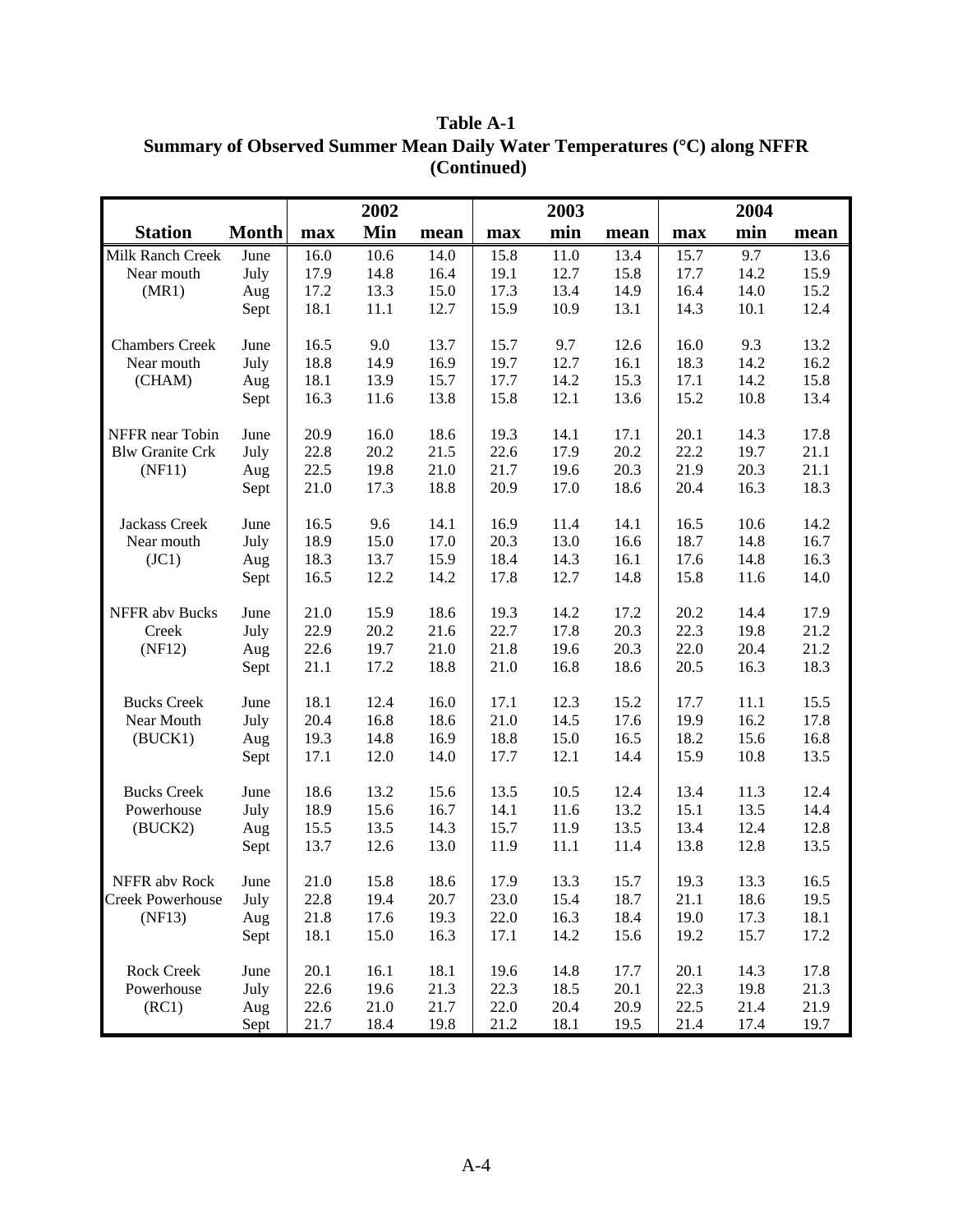| <b>Station</b><br><b>Month</b><br>Min<br>min<br>min<br>max<br>max<br>max<br>mean<br>mean<br>mean<br>16.0<br>10.6<br>15.8<br>11.0<br>13.4<br>15.7<br>9.7<br>Milk Ranch Creek<br>June<br>14.0<br>13.6<br>July<br>17.9<br>14.8<br>19.1<br>12.7<br>15.8<br>14.2<br>15.9<br>Near mouth<br>16.4<br>17.7<br>13.3<br>17.3<br>13.4<br>15.2<br>17.2<br>15.0<br>14.9<br>16.4<br>14.0<br>(MR1)<br>Aug<br>18.1<br>11.1<br>15.9<br>12.7<br>10.9<br>13.1<br>14.3<br>10.1<br>12.4<br>Sept<br><b>Chambers Creek</b><br>16.5<br>9.0<br>13.7<br>15.7<br>9.7<br>12.6<br>16.0<br>9.3<br>13.2<br>June<br>18.8<br>14.9<br>16.9<br>12.7<br>18.3<br>16.2<br>Near mouth<br>July<br>19.7<br>16.1<br>14.2<br>18.1<br>15.8<br>(CHAM)<br>13.9<br>15.7<br>17.7<br>14.2<br>15.3<br>17.1<br>14.2<br>Aug<br>16.3<br>11.6<br>13.8<br>15.8<br>12.1<br>13.6<br>15.2<br>10.8<br>13.4<br>Sept<br>NFFR near Tobin<br>20.9<br>16.0<br>18.6<br>19.3<br>14.1<br>17.1<br>20.1<br>14.3<br>17.8<br>June<br>17.9<br>20.2<br>22.2<br>21.1<br><b>Blw Granite Crk</b><br>July<br>22.8<br>20.2<br>21.5<br>22.6<br>19.7<br>21.1<br>22.5<br>19.8<br>21.0<br>21.7<br>19.6<br>20.3<br>21.9<br>Aug<br>20.3<br>(NF11)<br>21.0<br>18.8<br>20.9<br>17.0<br>18.6<br>18.3<br>17.3<br>20.4<br>16.3<br>Sept<br>14.1<br>Jackass Creek<br>June<br>16.5<br>9.6<br>16.9<br>11.4<br>14.1<br>16.5<br>10.6<br>14.2<br>18.9<br>15.0<br>13.0<br>16.7<br>Near mouth<br>17.0<br>20.3<br>16.6<br>18.7<br>14.8<br>July<br>13.7<br>18.4<br>16.3<br>(JC1)<br>18.3<br>15.9<br>14.3<br>16.1<br>17.6<br>14.8<br>Aug<br>16.5<br>12.2<br>14.2<br>17.8<br>12.7<br>15.8<br>14.0<br>14.8<br>11.6<br>Sept<br>18.6<br>20.2<br>NFFR abv Bucks<br>June<br>21.0<br>15.9<br>19.3<br>14.2<br>17.2<br>14.4<br>17.9<br>22.9<br>20.2<br>22.7<br>17.8<br>20.3<br>22.3<br>21.2<br>July<br>21.6<br>19.8<br>Creek<br>22.0<br>21.2<br>22.6<br>19.7<br>21.0<br>21.8<br>19.6<br>20.3<br>20.4<br>(NF12)<br>Aug<br>17.2<br>16.8<br>21.1<br>18.8<br>21.0<br>18.6<br>20.5<br>16.3<br>18.3<br>Sept<br>18.1<br>12.3<br><b>Bucks Creek</b><br>June<br>12.4<br>16.0<br>17.1<br>15.2<br>17.7<br>11.1<br>15.5<br>14.5<br>Near Mouth<br>July<br>20.4<br>16.8<br>18.6<br>21.0<br>17.6<br>19.9<br>16.2<br>17.8<br>19.3<br>14.8<br>18.8<br>15.0<br>18.2<br>(BUCK1)<br>16.9<br>16.5<br>15.6<br>16.8<br>Aug<br>12.1<br>17.1<br>12.0<br>14.0<br>17.7<br>14.4<br>15.9<br>10.8<br>13.5<br>Sept<br>18.6<br>13.2<br>13.5<br>10.5<br>12.4<br><b>Bucks Creek</b><br>June<br>15.6<br>12.4<br>13.4<br>11.3<br>18.9<br>14.4<br>Powerhouse<br>15.6<br>16.7<br>14.1<br>11.6<br>13.2<br>15.1<br>13.5<br>July<br>15.5<br>13.5<br>14.3<br>15.7<br>11.9<br>13.5<br>13.4<br>12.4<br>12.8<br>(BUCK2)<br>Aug<br>13.7<br>12.6<br>13.0<br>11.9<br>11.1<br>11.4<br>13.8<br>13.5<br>Sept<br>12.8<br>21.0<br>15.8<br>18.6<br>17.9<br>13.3<br>15.7<br>19.3<br>13.3<br>16.5<br>NFFR abv Rock<br>June<br>Creek Powerhouse<br>July<br>22.8<br>19.4<br>20.7<br>23.0<br>15.4<br>18.7<br>21.1<br>18.6<br>19.5<br>(NF13)<br>21.8<br>17.6<br>19.3<br>22.0<br>16.3<br>18.4<br>19.0<br>18.1<br>Aug<br>17.3<br>14.2<br>18.1<br>15.0<br>16.3<br>17.1<br>15.6<br>19.2<br>15.7<br>17.2<br>Sept<br>16.1<br>18.1<br>Rock Creek<br>20.1<br>19.6<br>14.8<br>17.7<br>20.1<br>14.3<br>17.8<br>June<br>Powerhouse<br>22.6<br>21.3<br>22.3<br>22.3<br>21.3<br>July<br>19.6<br>18.5<br>20.1<br>19.8<br>22.6<br>21.0<br>21.7<br>22.0<br>20.9<br>22.5<br>21.9<br>(RC1)<br>20.4<br>21.4<br>Aug |      |      | 2002 |      |      | 2003 |      |      | 2004 |      |
|----------------------------------------------------------------------------------------------------------------------------------------------------------------------------------------------------------------------------------------------------------------------------------------------------------------------------------------------------------------------------------------------------------------------------------------------------------------------------------------------------------------------------------------------------------------------------------------------------------------------------------------------------------------------------------------------------------------------------------------------------------------------------------------------------------------------------------------------------------------------------------------------------------------------------------------------------------------------------------------------------------------------------------------------------------------------------------------------------------------------------------------------------------------------------------------------------------------------------------------------------------------------------------------------------------------------------------------------------------------------------------------------------------------------------------------------------------------------------------------------------------------------------------------------------------------------------------------------------------------------------------------------------------------------------------------------------------------------------------------------------------------------------------------------------------------------------------------------------------------------------------------------------------------------------------------------------------------------------------------------------------------------------------------------------------------------------------------------------------------------------------------------------------------------------------------------------------------------------------------------------------------------------------------------------------------------------------------------------------------------------------------------------------------------------------------------------------------------------------------------------------------------------------------------------------------------------------------------------------------------------------------------------------------------------------------------------------------------------------------------------------------------------------------------------------------------------------------------------------------------------------------------------------------------------------------------------------------------------------------------------------------------------------------------------------------------------------------------------------------------------------------------------------------------------------------------------------------------------------------------------------------------------------------------------------------------------------------------------------------------------------------------------------------------|------|------|------|------|------|------|------|------|------|------|
|                                                                                                                                                                                                                                                                                                                                                                                                                                                                                                                                                                                                                                                                                                                                                                                                                                                                                                                                                                                                                                                                                                                                                                                                                                                                                                                                                                                                                                                                                                                                                                                                                                                                                                                                                                                                                                                                                                                                                                                                                                                                                                                                                                                                                                                                                                                                                                                                                                                                                                                                                                                                                                                                                                                                                                                                                                                                                                                                                                                                                                                                                                                                                                                                                                                                                                                                                                                                                      |      |      |      |      |      |      |      |      |      |      |
|                                                                                                                                                                                                                                                                                                                                                                                                                                                                                                                                                                                                                                                                                                                                                                                                                                                                                                                                                                                                                                                                                                                                                                                                                                                                                                                                                                                                                                                                                                                                                                                                                                                                                                                                                                                                                                                                                                                                                                                                                                                                                                                                                                                                                                                                                                                                                                                                                                                                                                                                                                                                                                                                                                                                                                                                                                                                                                                                                                                                                                                                                                                                                                                                                                                                                                                                                                                                                      |      |      |      |      |      |      |      |      |      |      |
|                                                                                                                                                                                                                                                                                                                                                                                                                                                                                                                                                                                                                                                                                                                                                                                                                                                                                                                                                                                                                                                                                                                                                                                                                                                                                                                                                                                                                                                                                                                                                                                                                                                                                                                                                                                                                                                                                                                                                                                                                                                                                                                                                                                                                                                                                                                                                                                                                                                                                                                                                                                                                                                                                                                                                                                                                                                                                                                                                                                                                                                                                                                                                                                                                                                                                                                                                                                                                      |      |      |      |      |      |      |      |      |      |      |
|                                                                                                                                                                                                                                                                                                                                                                                                                                                                                                                                                                                                                                                                                                                                                                                                                                                                                                                                                                                                                                                                                                                                                                                                                                                                                                                                                                                                                                                                                                                                                                                                                                                                                                                                                                                                                                                                                                                                                                                                                                                                                                                                                                                                                                                                                                                                                                                                                                                                                                                                                                                                                                                                                                                                                                                                                                                                                                                                                                                                                                                                                                                                                                                                                                                                                                                                                                                                                      |      |      |      |      |      |      |      |      |      |      |
|                                                                                                                                                                                                                                                                                                                                                                                                                                                                                                                                                                                                                                                                                                                                                                                                                                                                                                                                                                                                                                                                                                                                                                                                                                                                                                                                                                                                                                                                                                                                                                                                                                                                                                                                                                                                                                                                                                                                                                                                                                                                                                                                                                                                                                                                                                                                                                                                                                                                                                                                                                                                                                                                                                                                                                                                                                                                                                                                                                                                                                                                                                                                                                                                                                                                                                                                                                                                                      |      |      |      |      |      |      |      |      |      |      |
|                                                                                                                                                                                                                                                                                                                                                                                                                                                                                                                                                                                                                                                                                                                                                                                                                                                                                                                                                                                                                                                                                                                                                                                                                                                                                                                                                                                                                                                                                                                                                                                                                                                                                                                                                                                                                                                                                                                                                                                                                                                                                                                                                                                                                                                                                                                                                                                                                                                                                                                                                                                                                                                                                                                                                                                                                                                                                                                                                                                                                                                                                                                                                                                                                                                                                                                                                                                                                      |      |      |      |      |      |      |      |      |      |      |
|                                                                                                                                                                                                                                                                                                                                                                                                                                                                                                                                                                                                                                                                                                                                                                                                                                                                                                                                                                                                                                                                                                                                                                                                                                                                                                                                                                                                                                                                                                                                                                                                                                                                                                                                                                                                                                                                                                                                                                                                                                                                                                                                                                                                                                                                                                                                                                                                                                                                                                                                                                                                                                                                                                                                                                                                                                                                                                                                                                                                                                                                                                                                                                                                                                                                                                                                                                                                                      |      |      |      |      |      |      |      |      |      |      |
|                                                                                                                                                                                                                                                                                                                                                                                                                                                                                                                                                                                                                                                                                                                                                                                                                                                                                                                                                                                                                                                                                                                                                                                                                                                                                                                                                                                                                                                                                                                                                                                                                                                                                                                                                                                                                                                                                                                                                                                                                                                                                                                                                                                                                                                                                                                                                                                                                                                                                                                                                                                                                                                                                                                                                                                                                                                                                                                                                                                                                                                                                                                                                                                                                                                                                                                                                                                                                      |      |      |      |      |      |      |      |      |      |      |
|                                                                                                                                                                                                                                                                                                                                                                                                                                                                                                                                                                                                                                                                                                                                                                                                                                                                                                                                                                                                                                                                                                                                                                                                                                                                                                                                                                                                                                                                                                                                                                                                                                                                                                                                                                                                                                                                                                                                                                                                                                                                                                                                                                                                                                                                                                                                                                                                                                                                                                                                                                                                                                                                                                                                                                                                                                                                                                                                                                                                                                                                                                                                                                                                                                                                                                                                                                                                                      |      |      |      |      |      |      |      |      |      |      |
|                                                                                                                                                                                                                                                                                                                                                                                                                                                                                                                                                                                                                                                                                                                                                                                                                                                                                                                                                                                                                                                                                                                                                                                                                                                                                                                                                                                                                                                                                                                                                                                                                                                                                                                                                                                                                                                                                                                                                                                                                                                                                                                                                                                                                                                                                                                                                                                                                                                                                                                                                                                                                                                                                                                                                                                                                                                                                                                                                                                                                                                                                                                                                                                                                                                                                                                                                                                                                      |      |      |      |      |      |      |      |      |      |      |
|                                                                                                                                                                                                                                                                                                                                                                                                                                                                                                                                                                                                                                                                                                                                                                                                                                                                                                                                                                                                                                                                                                                                                                                                                                                                                                                                                                                                                                                                                                                                                                                                                                                                                                                                                                                                                                                                                                                                                                                                                                                                                                                                                                                                                                                                                                                                                                                                                                                                                                                                                                                                                                                                                                                                                                                                                                                                                                                                                                                                                                                                                                                                                                                                                                                                                                                                                                                                                      |      |      |      |      |      |      |      |      |      |      |
|                                                                                                                                                                                                                                                                                                                                                                                                                                                                                                                                                                                                                                                                                                                                                                                                                                                                                                                                                                                                                                                                                                                                                                                                                                                                                                                                                                                                                                                                                                                                                                                                                                                                                                                                                                                                                                                                                                                                                                                                                                                                                                                                                                                                                                                                                                                                                                                                                                                                                                                                                                                                                                                                                                                                                                                                                                                                                                                                                                                                                                                                                                                                                                                                                                                                                                                                                                                                                      |      |      |      |      |      |      |      |      |      |      |
|                                                                                                                                                                                                                                                                                                                                                                                                                                                                                                                                                                                                                                                                                                                                                                                                                                                                                                                                                                                                                                                                                                                                                                                                                                                                                                                                                                                                                                                                                                                                                                                                                                                                                                                                                                                                                                                                                                                                                                                                                                                                                                                                                                                                                                                                                                                                                                                                                                                                                                                                                                                                                                                                                                                                                                                                                                                                                                                                                                                                                                                                                                                                                                                                                                                                                                                                                                                                                      |      |      |      |      |      |      |      |      |      |      |
|                                                                                                                                                                                                                                                                                                                                                                                                                                                                                                                                                                                                                                                                                                                                                                                                                                                                                                                                                                                                                                                                                                                                                                                                                                                                                                                                                                                                                                                                                                                                                                                                                                                                                                                                                                                                                                                                                                                                                                                                                                                                                                                                                                                                                                                                                                                                                                                                                                                                                                                                                                                                                                                                                                                                                                                                                                                                                                                                                                                                                                                                                                                                                                                                                                                                                                                                                                                                                      |      |      |      |      |      |      |      |      |      |      |
|                                                                                                                                                                                                                                                                                                                                                                                                                                                                                                                                                                                                                                                                                                                                                                                                                                                                                                                                                                                                                                                                                                                                                                                                                                                                                                                                                                                                                                                                                                                                                                                                                                                                                                                                                                                                                                                                                                                                                                                                                                                                                                                                                                                                                                                                                                                                                                                                                                                                                                                                                                                                                                                                                                                                                                                                                                                                                                                                                                                                                                                                                                                                                                                                                                                                                                                                                                                                                      |      |      |      |      |      |      |      |      |      |      |
|                                                                                                                                                                                                                                                                                                                                                                                                                                                                                                                                                                                                                                                                                                                                                                                                                                                                                                                                                                                                                                                                                                                                                                                                                                                                                                                                                                                                                                                                                                                                                                                                                                                                                                                                                                                                                                                                                                                                                                                                                                                                                                                                                                                                                                                                                                                                                                                                                                                                                                                                                                                                                                                                                                                                                                                                                                                                                                                                                                                                                                                                                                                                                                                                                                                                                                                                                                                                                      |      |      |      |      |      |      |      |      |      |      |
|                                                                                                                                                                                                                                                                                                                                                                                                                                                                                                                                                                                                                                                                                                                                                                                                                                                                                                                                                                                                                                                                                                                                                                                                                                                                                                                                                                                                                                                                                                                                                                                                                                                                                                                                                                                                                                                                                                                                                                                                                                                                                                                                                                                                                                                                                                                                                                                                                                                                                                                                                                                                                                                                                                                                                                                                                                                                                                                                                                                                                                                                                                                                                                                                                                                                                                                                                                                                                      |      |      |      |      |      |      |      |      |      |      |
|                                                                                                                                                                                                                                                                                                                                                                                                                                                                                                                                                                                                                                                                                                                                                                                                                                                                                                                                                                                                                                                                                                                                                                                                                                                                                                                                                                                                                                                                                                                                                                                                                                                                                                                                                                                                                                                                                                                                                                                                                                                                                                                                                                                                                                                                                                                                                                                                                                                                                                                                                                                                                                                                                                                                                                                                                                                                                                                                                                                                                                                                                                                                                                                                                                                                                                                                                                                                                      |      |      |      |      |      |      |      |      |      |      |
|                                                                                                                                                                                                                                                                                                                                                                                                                                                                                                                                                                                                                                                                                                                                                                                                                                                                                                                                                                                                                                                                                                                                                                                                                                                                                                                                                                                                                                                                                                                                                                                                                                                                                                                                                                                                                                                                                                                                                                                                                                                                                                                                                                                                                                                                                                                                                                                                                                                                                                                                                                                                                                                                                                                                                                                                                                                                                                                                                                                                                                                                                                                                                                                                                                                                                                                                                                                                                      |      |      |      |      |      |      |      |      |      |      |
|                                                                                                                                                                                                                                                                                                                                                                                                                                                                                                                                                                                                                                                                                                                                                                                                                                                                                                                                                                                                                                                                                                                                                                                                                                                                                                                                                                                                                                                                                                                                                                                                                                                                                                                                                                                                                                                                                                                                                                                                                                                                                                                                                                                                                                                                                                                                                                                                                                                                                                                                                                                                                                                                                                                                                                                                                                                                                                                                                                                                                                                                                                                                                                                                                                                                                                                                                                                                                      |      |      |      |      |      |      |      |      |      |      |
|                                                                                                                                                                                                                                                                                                                                                                                                                                                                                                                                                                                                                                                                                                                                                                                                                                                                                                                                                                                                                                                                                                                                                                                                                                                                                                                                                                                                                                                                                                                                                                                                                                                                                                                                                                                                                                                                                                                                                                                                                                                                                                                                                                                                                                                                                                                                                                                                                                                                                                                                                                                                                                                                                                                                                                                                                                                                                                                                                                                                                                                                                                                                                                                                                                                                                                                                                                                                                      |      |      |      |      |      |      |      |      |      |      |
|                                                                                                                                                                                                                                                                                                                                                                                                                                                                                                                                                                                                                                                                                                                                                                                                                                                                                                                                                                                                                                                                                                                                                                                                                                                                                                                                                                                                                                                                                                                                                                                                                                                                                                                                                                                                                                                                                                                                                                                                                                                                                                                                                                                                                                                                                                                                                                                                                                                                                                                                                                                                                                                                                                                                                                                                                                                                                                                                                                                                                                                                                                                                                                                                                                                                                                                                                                                                                      |      |      |      |      |      |      |      |      |      |      |
|                                                                                                                                                                                                                                                                                                                                                                                                                                                                                                                                                                                                                                                                                                                                                                                                                                                                                                                                                                                                                                                                                                                                                                                                                                                                                                                                                                                                                                                                                                                                                                                                                                                                                                                                                                                                                                                                                                                                                                                                                                                                                                                                                                                                                                                                                                                                                                                                                                                                                                                                                                                                                                                                                                                                                                                                                                                                                                                                                                                                                                                                                                                                                                                                                                                                                                                                                                                                                      |      |      |      |      |      |      |      |      |      |      |
|                                                                                                                                                                                                                                                                                                                                                                                                                                                                                                                                                                                                                                                                                                                                                                                                                                                                                                                                                                                                                                                                                                                                                                                                                                                                                                                                                                                                                                                                                                                                                                                                                                                                                                                                                                                                                                                                                                                                                                                                                                                                                                                                                                                                                                                                                                                                                                                                                                                                                                                                                                                                                                                                                                                                                                                                                                                                                                                                                                                                                                                                                                                                                                                                                                                                                                                                                                                                                      |      |      |      |      |      |      |      |      |      |      |
|                                                                                                                                                                                                                                                                                                                                                                                                                                                                                                                                                                                                                                                                                                                                                                                                                                                                                                                                                                                                                                                                                                                                                                                                                                                                                                                                                                                                                                                                                                                                                                                                                                                                                                                                                                                                                                                                                                                                                                                                                                                                                                                                                                                                                                                                                                                                                                                                                                                                                                                                                                                                                                                                                                                                                                                                                                                                                                                                                                                                                                                                                                                                                                                                                                                                                                                                                                                                                      |      |      |      |      |      |      |      |      |      |      |
|                                                                                                                                                                                                                                                                                                                                                                                                                                                                                                                                                                                                                                                                                                                                                                                                                                                                                                                                                                                                                                                                                                                                                                                                                                                                                                                                                                                                                                                                                                                                                                                                                                                                                                                                                                                                                                                                                                                                                                                                                                                                                                                                                                                                                                                                                                                                                                                                                                                                                                                                                                                                                                                                                                                                                                                                                                                                                                                                                                                                                                                                                                                                                                                                                                                                                                                                                                                                                      |      |      |      |      |      |      |      |      |      |      |
|                                                                                                                                                                                                                                                                                                                                                                                                                                                                                                                                                                                                                                                                                                                                                                                                                                                                                                                                                                                                                                                                                                                                                                                                                                                                                                                                                                                                                                                                                                                                                                                                                                                                                                                                                                                                                                                                                                                                                                                                                                                                                                                                                                                                                                                                                                                                                                                                                                                                                                                                                                                                                                                                                                                                                                                                                                                                                                                                                                                                                                                                                                                                                                                                                                                                                                                                                                                                                      |      |      |      |      |      |      |      |      |      |      |
|                                                                                                                                                                                                                                                                                                                                                                                                                                                                                                                                                                                                                                                                                                                                                                                                                                                                                                                                                                                                                                                                                                                                                                                                                                                                                                                                                                                                                                                                                                                                                                                                                                                                                                                                                                                                                                                                                                                                                                                                                                                                                                                                                                                                                                                                                                                                                                                                                                                                                                                                                                                                                                                                                                                                                                                                                                                                                                                                                                                                                                                                                                                                                                                                                                                                                                                                                                                                                      |      |      |      |      |      |      |      |      |      |      |
|                                                                                                                                                                                                                                                                                                                                                                                                                                                                                                                                                                                                                                                                                                                                                                                                                                                                                                                                                                                                                                                                                                                                                                                                                                                                                                                                                                                                                                                                                                                                                                                                                                                                                                                                                                                                                                                                                                                                                                                                                                                                                                                                                                                                                                                                                                                                                                                                                                                                                                                                                                                                                                                                                                                                                                                                                                                                                                                                                                                                                                                                                                                                                                                                                                                                                                                                                                                                                      |      |      |      |      |      |      |      |      |      |      |
|                                                                                                                                                                                                                                                                                                                                                                                                                                                                                                                                                                                                                                                                                                                                                                                                                                                                                                                                                                                                                                                                                                                                                                                                                                                                                                                                                                                                                                                                                                                                                                                                                                                                                                                                                                                                                                                                                                                                                                                                                                                                                                                                                                                                                                                                                                                                                                                                                                                                                                                                                                                                                                                                                                                                                                                                                                                                                                                                                                                                                                                                                                                                                                                                                                                                                                                                                                                                                      |      |      |      |      |      |      |      |      |      |      |
|                                                                                                                                                                                                                                                                                                                                                                                                                                                                                                                                                                                                                                                                                                                                                                                                                                                                                                                                                                                                                                                                                                                                                                                                                                                                                                                                                                                                                                                                                                                                                                                                                                                                                                                                                                                                                                                                                                                                                                                                                                                                                                                                                                                                                                                                                                                                                                                                                                                                                                                                                                                                                                                                                                                                                                                                                                                                                                                                                                                                                                                                                                                                                                                                                                                                                                                                                                                                                      |      |      |      |      |      |      |      |      |      |      |
|                                                                                                                                                                                                                                                                                                                                                                                                                                                                                                                                                                                                                                                                                                                                                                                                                                                                                                                                                                                                                                                                                                                                                                                                                                                                                                                                                                                                                                                                                                                                                                                                                                                                                                                                                                                                                                                                                                                                                                                                                                                                                                                                                                                                                                                                                                                                                                                                                                                                                                                                                                                                                                                                                                                                                                                                                                                                                                                                                                                                                                                                                                                                                                                                                                                                                                                                                                                                                      |      |      |      |      |      |      |      |      |      |      |
|                                                                                                                                                                                                                                                                                                                                                                                                                                                                                                                                                                                                                                                                                                                                                                                                                                                                                                                                                                                                                                                                                                                                                                                                                                                                                                                                                                                                                                                                                                                                                                                                                                                                                                                                                                                                                                                                                                                                                                                                                                                                                                                                                                                                                                                                                                                                                                                                                                                                                                                                                                                                                                                                                                                                                                                                                                                                                                                                                                                                                                                                                                                                                                                                                                                                                                                                                                                                                      |      |      |      |      |      |      |      |      |      |      |
|                                                                                                                                                                                                                                                                                                                                                                                                                                                                                                                                                                                                                                                                                                                                                                                                                                                                                                                                                                                                                                                                                                                                                                                                                                                                                                                                                                                                                                                                                                                                                                                                                                                                                                                                                                                                                                                                                                                                                                                                                                                                                                                                                                                                                                                                                                                                                                                                                                                                                                                                                                                                                                                                                                                                                                                                                                                                                                                                                                                                                                                                                                                                                                                                                                                                                                                                                                                                                      |      |      |      |      |      |      |      |      |      |      |
|                                                                                                                                                                                                                                                                                                                                                                                                                                                                                                                                                                                                                                                                                                                                                                                                                                                                                                                                                                                                                                                                                                                                                                                                                                                                                                                                                                                                                                                                                                                                                                                                                                                                                                                                                                                                                                                                                                                                                                                                                                                                                                                                                                                                                                                                                                                                                                                                                                                                                                                                                                                                                                                                                                                                                                                                                                                                                                                                                                                                                                                                                                                                                                                                                                                                                                                                                                                                                      |      |      |      |      |      |      |      |      |      |      |
|                                                                                                                                                                                                                                                                                                                                                                                                                                                                                                                                                                                                                                                                                                                                                                                                                                                                                                                                                                                                                                                                                                                                                                                                                                                                                                                                                                                                                                                                                                                                                                                                                                                                                                                                                                                                                                                                                                                                                                                                                                                                                                                                                                                                                                                                                                                                                                                                                                                                                                                                                                                                                                                                                                                                                                                                                                                                                                                                                                                                                                                                                                                                                                                                                                                                                                                                                                                                                      |      |      |      |      |      |      |      |      |      |      |
|                                                                                                                                                                                                                                                                                                                                                                                                                                                                                                                                                                                                                                                                                                                                                                                                                                                                                                                                                                                                                                                                                                                                                                                                                                                                                                                                                                                                                                                                                                                                                                                                                                                                                                                                                                                                                                                                                                                                                                                                                                                                                                                                                                                                                                                                                                                                                                                                                                                                                                                                                                                                                                                                                                                                                                                                                                                                                                                                                                                                                                                                                                                                                                                                                                                                                                                                                                                                                      |      |      |      |      |      |      |      |      |      |      |
|                                                                                                                                                                                                                                                                                                                                                                                                                                                                                                                                                                                                                                                                                                                                                                                                                                                                                                                                                                                                                                                                                                                                                                                                                                                                                                                                                                                                                                                                                                                                                                                                                                                                                                                                                                                                                                                                                                                                                                                                                                                                                                                                                                                                                                                                                                                                                                                                                                                                                                                                                                                                                                                                                                                                                                                                                                                                                                                                                                                                                                                                                                                                                                                                                                                                                                                                                                                                                      |      |      |      |      |      |      |      |      |      |      |
|                                                                                                                                                                                                                                                                                                                                                                                                                                                                                                                                                                                                                                                                                                                                                                                                                                                                                                                                                                                                                                                                                                                                                                                                                                                                                                                                                                                                                                                                                                                                                                                                                                                                                                                                                                                                                                                                                                                                                                                                                                                                                                                                                                                                                                                                                                                                                                                                                                                                                                                                                                                                                                                                                                                                                                                                                                                                                                                                                                                                                                                                                                                                                                                                                                                                                                                                                                                                                      |      |      |      |      |      |      |      |      |      |      |
|                                                                                                                                                                                                                                                                                                                                                                                                                                                                                                                                                                                                                                                                                                                                                                                                                                                                                                                                                                                                                                                                                                                                                                                                                                                                                                                                                                                                                                                                                                                                                                                                                                                                                                                                                                                                                                                                                                                                                                                                                                                                                                                                                                                                                                                                                                                                                                                                                                                                                                                                                                                                                                                                                                                                                                                                                                                                                                                                                                                                                                                                                                                                                                                                                                                                                                                                                                                                                      | Sept | 21.7 | 18.4 | 19.8 | 21.2 | 18.1 | 19.5 | 21.4 | 17.4 | 19.7 |

**Table A-1 Summary of Observed Summer Mean Daily Water Temperatures (**°**C) along NFFR (Continued)**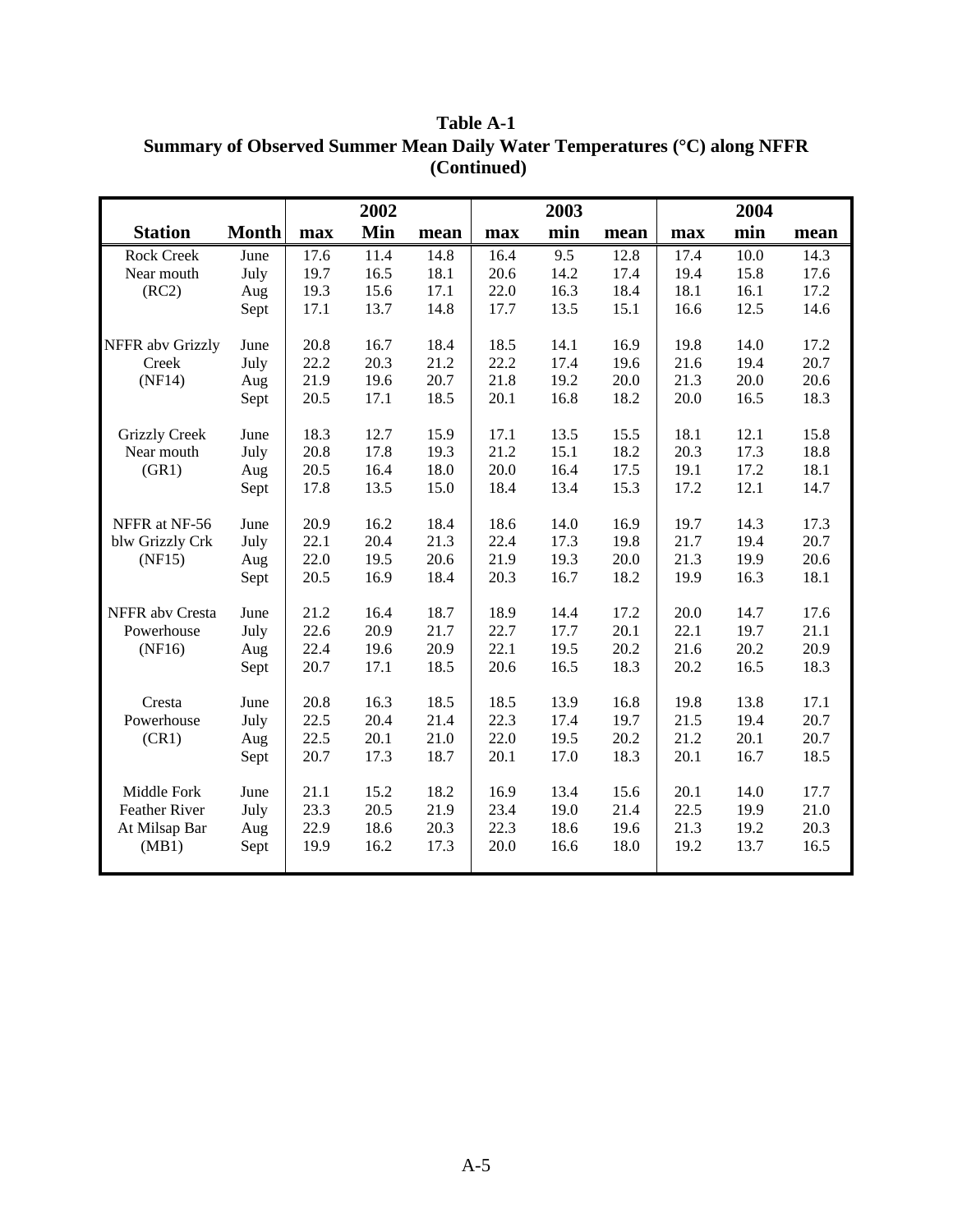|                      |              |      | 2002 |      |      | 2003 |      |      | 2004 |      |
|----------------------|--------------|------|------|------|------|------|------|------|------|------|
| <b>Station</b>       | <b>Month</b> | max  | Min  | mean | max  | min  | mean | max  | min  | mean |
| <b>Rock Creek</b>    | June         | 17.6 | 11.4 | 14.8 | 16.4 | 9.5  | 12.8 | 17.4 | 10.0 | 14.3 |
| Near mouth           | July         | 19.7 | 16.5 | 18.1 | 20.6 | 14.2 | 17.4 | 19.4 | 15.8 | 17.6 |
| (RC2)                | Aug          | 19.3 | 15.6 | 17.1 | 22.0 | 16.3 | 18.4 | 18.1 | 16.1 | 17.2 |
|                      | Sept         | 17.1 | 13.7 | 14.8 | 17.7 | 13.5 | 15.1 | 16.6 | 12.5 | 14.6 |
| NFFR abv Grizzly     | June         | 20.8 | 16.7 | 18.4 | 18.5 | 14.1 | 16.9 | 19.8 | 14.0 | 17.2 |
| Creek                | July         | 22.2 | 20.3 | 21.2 | 22.2 | 17.4 | 19.6 | 21.6 | 19.4 | 20.7 |
| (NF14)               | Aug          | 21.9 | 19.6 | 20.7 | 21.8 | 19.2 | 20.0 | 21.3 | 20.0 | 20.6 |
|                      | Sept         | 20.5 | 17.1 | 18.5 | 20.1 | 16.8 | 18.2 | 20.0 | 16.5 | 18.3 |
| <b>Grizzly Creek</b> | June         | 18.3 | 12.7 | 15.9 | 17.1 | 13.5 | 15.5 | 18.1 | 12.1 | 15.8 |
| Near mouth           | July         | 20.8 | 17.8 | 19.3 | 21.2 | 15.1 | 18.2 | 20.3 | 17.3 | 18.8 |
| (GR1)                | Aug          | 20.5 | 16.4 | 18.0 | 20.0 | 16.4 | 17.5 | 19.1 | 17.2 | 18.1 |
|                      | Sept         | 17.8 | 13.5 | 15.0 | 18.4 | 13.4 | 15.3 | 17.2 | 12.1 | 14.7 |
| NFFR at NF-56        | June         | 20.9 | 16.2 | 18.4 | 18.6 | 14.0 | 16.9 | 19.7 | 14.3 | 17.3 |
| blw Grizzly Crk      | July         | 22.1 | 20.4 | 21.3 | 22.4 | 17.3 | 19.8 | 21.7 | 19.4 | 20.7 |
| (NF15)               | Aug          | 22.0 | 19.5 | 20.6 | 21.9 | 19.3 | 20.0 | 21.3 | 19.9 | 20.6 |
|                      | Sept         | 20.5 | 16.9 | 18.4 | 20.3 | 16.7 | 18.2 | 19.9 | 16.3 | 18.1 |
| NFFR abv Cresta      | June         | 21.2 | 16.4 | 18.7 | 18.9 | 14.4 | 17.2 | 20.0 | 14.7 | 17.6 |
| Powerhouse           | July         | 22.6 | 20.9 | 21.7 | 22.7 | 17.7 | 20.1 | 22.1 | 19.7 | 21.1 |
| (NF16)               | Aug          | 22.4 | 19.6 | 20.9 | 22.1 | 19.5 | 20.2 | 21.6 | 20.2 | 20.9 |
|                      | Sept         | 20.7 | 17.1 | 18.5 | 20.6 | 16.5 | 18.3 | 20.2 | 16.5 | 18.3 |
| Cresta               | June         | 20.8 | 16.3 | 18.5 | 18.5 | 13.9 | 16.8 | 19.8 | 13.8 | 17.1 |
| Powerhouse           | July         | 22.5 | 20.4 | 21.4 | 22.3 | 17.4 | 19.7 | 21.5 | 19.4 | 20.7 |
| (CR1)                | Aug          | 22.5 | 20.1 | 21.0 | 22.0 | 19.5 | 20.2 | 21.2 | 20.1 | 20.7 |
|                      | Sept         | 20.7 | 17.3 | 18.7 | 20.1 | 17.0 | 18.3 | 20.1 | 16.7 | 18.5 |
| Middle Fork          | June         | 21.1 | 15.2 | 18.2 | 16.9 | 13.4 | 15.6 | 20.1 | 14.0 | 17.7 |
| Feather River        | July         | 23.3 | 20.5 | 21.9 | 23.4 | 19.0 | 21.4 | 22.5 | 19.9 | 21.0 |
| At Milsap Bar        | Aug          | 22.9 | 18.6 | 20.3 | 22.3 | 18.6 | 19.6 | 21.3 | 19.2 | 20.3 |
| (MB1)                | Sept         | 19.9 | 16.2 | 17.3 | 20.0 | 16.6 | 18.0 | 19.2 | 13.7 | 16.5 |

**Table A-1 Summary of Observed Summer Mean Daily Water Temperatures (**°**C) along NFFR (Continued)**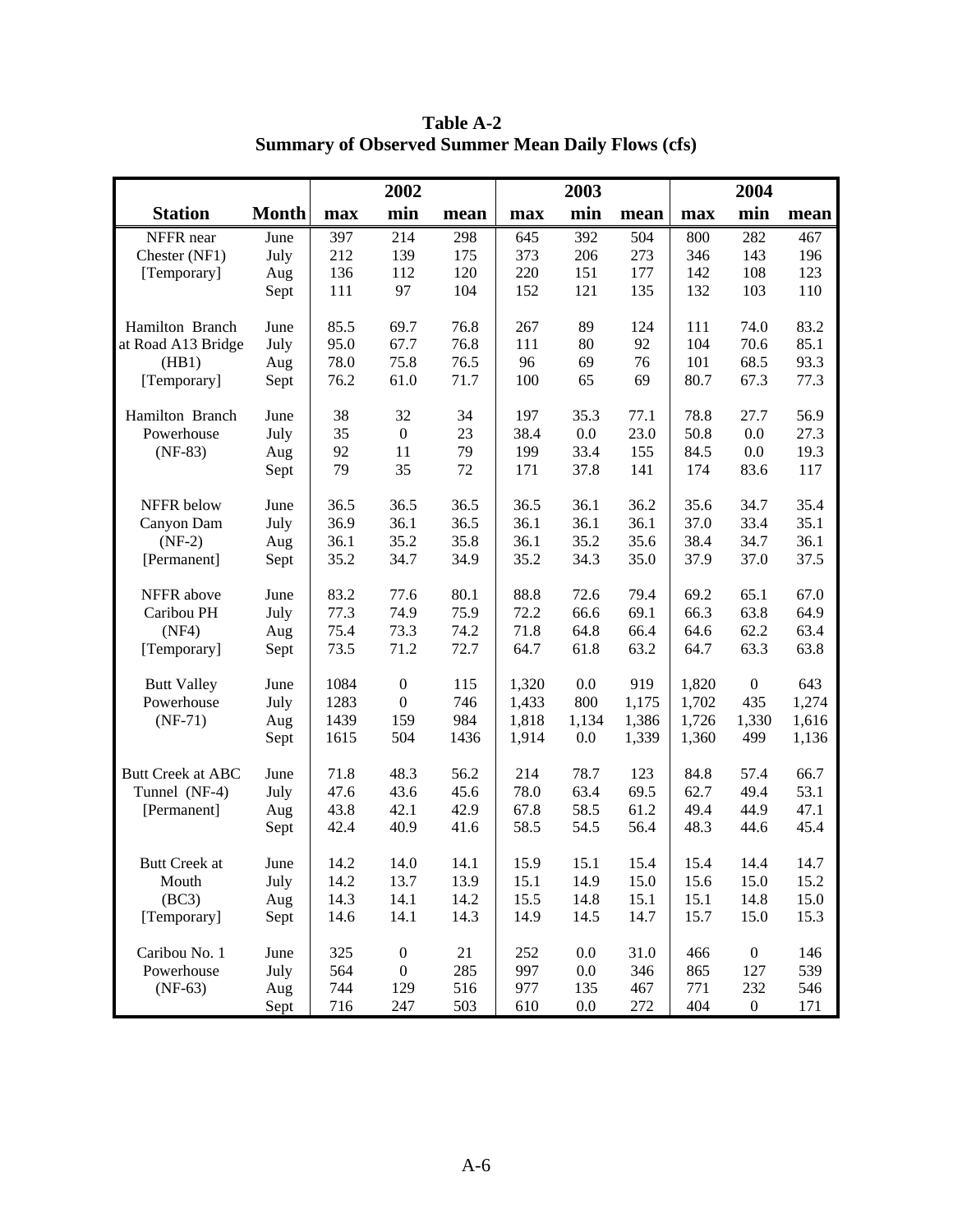|                      |              |      | 2002             |      |       | 2003    |       |       | 2004             |       |
|----------------------|--------------|------|------------------|------|-------|---------|-------|-------|------------------|-------|
| <b>Station</b>       | <b>Month</b> | max  | min              | mean | max   | min     | mean  | max   | min              | mean  |
| NFFR near            | June         | 397  | 214              | 298  | 645   | 392     | 504   | 800   | 282              | 467   |
| Chester (NF1)        | July         | 212  | 139              | 175  | 373   | 206     | 273   | 346   | 143              | 196   |
| [Temporary]          | Aug          | 136  | 112              | 120  | 220   | 151     | 177   | 142   | 108              | 123   |
|                      | Sept         | 111  | 97               | 104  | 152   | 121     | 135   | 132   | 103              | 110   |
| Hamilton Branch      | June         | 85.5 | 69.7             | 76.8 | 267   | 89      | 124   | 111   | 74.0             | 83.2  |
| at Road A13 Bridge   | July         | 95.0 | 67.7             | 76.8 | 111   | 80      | 92    | 104   | 70.6             | 85.1  |
| (HB1)                | Aug          | 78.0 | 75.8             | 76.5 | 96    | 69      | 76    | 101   | 68.5             | 93.3  |
| [Temporary]          | Sept         | 76.2 | 61.0             | 71.7 | 100   | 65      | 69    | 80.7  | 67.3             | 77.3  |
| Hamilton Branch      | June         | 38   | 32               | 34   | 197   | 35.3    | 77.1  | 78.8  | 27.7             | 56.9  |
| Powerhouse           | July         | 35   | $\boldsymbol{0}$ | 23   | 38.4  | 0.0     | 23.0  | 50.8  | 0.0              | 27.3  |
| $(NF-83)$            | Aug          | 92   | 11               | 79   | 199   | 33.4    | 155   | 84.5  | 0.0              | 19.3  |
|                      | Sept         | 79   | 35               | 72   | 171   | 37.8    | 141   | 174   | 83.6             | 117   |
| NFFR below           | June         | 36.5 | 36.5             | 36.5 | 36.5  | 36.1    | 36.2  | 35.6  | 34.7             | 35.4  |
| Canyon Dam           | July         | 36.9 | 36.1             | 36.5 | 36.1  | 36.1    | 36.1  | 37.0  | 33.4             | 35.1  |
| $(NF-2)$             | Aug          | 36.1 | 35.2             | 35.8 | 36.1  | 35.2    | 35.6  | 38.4  | 34.7             | 36.1  |
| [Permanent]          | Sept         | 35.2 | 34.7             | 34.9 | 35.2  | 34.3    | 35.0  | 37.9  | 37.0             | 37.5  |
| NFFR above           | June         | 83.2 | 77.6             | 80.1 | 88.8  | 72.6    | 79.4  | 69.2  | 65.1             | 67.0  |
| Caribou PH           | July         | 77.3 | 74.9             | 75.9 | 72.2  | 66.6    | 69.1  | 66.3  | 63.8             | 64.9  |
| (NF4)                | Aug          | 75.4 | 73.3             | 74.2 | 71.8  | 64.8    | 66.4  | 64.6  | 62.2             | 63.4  |
| [Temporary]          | Sept         | 73.5 | 71.2             | 72.7 | 64.7  | 61.8    | 63.2  | 64.7  | 63.3             | 63.8  |
| <b>Butt Valley</b>   | June         | 1084 | $\boldsymbol{0}$ | 115  | 1,320 | 0.0     | 919   | 1,820 | $\boldsymbol{0}$ | 643   |
| Powerhouse           | July         | 1283 | $\boldsymbol{0}$ | 746  | 1,433 | 800     | 1,175 | 1,702 | 435              | 1,274 |
| $(NF-71)$            | Aug          | 1439 | 159              | 984  | 1,818 | 1,134   | 1,386 | 1,726 | 1,330            | 1,616 |
|                      | Sept         | 1615 | 504              | 1436 | 1,914 | 0.0     | 1,339 | 1,360 | 499              | 1,136 |
| Butt Creek at ABC    | June         | 71.8 | 48.3             | 56.2 | 214   | 78.7    | 123   | 84.8  | 57.4             | 66.7  |
| Tunnel (NF-4)        | July         | 47.6 | 43.6             | 45.6 | 78.0  | 63.4    | 69.5  | 62.7  | 49.4             | 53.1  |
| [Permanent]          | Aug          | 43.8 | 42.1             | 42.9 | 67.8  | 58.5    | 61.2  | 49.4  | 44.9             | 47.1  |
|                      | Sept         | 42.4 | 40.9             | 41.6 | 58.5  | 54.5    | 56.4  | 48.3  | 44.6             | 45.4  |
| <b>Butt Creek at</b> | June         | 14.2 | 14.0             | 14.1 | 15.9  | 15.1    | 15.4  | 15.4  | 14.4             | 14.7  |
| Mouth                | July         | 14.2 | 13.7             | 13.9 | 15.1  | 14.9    | 15.0  | 15.6  | 15.0             | 15.2  |
| (BC3)                | Aug          | 14.3 | 14.1             | 14.2 | 15.5  | 14.8    | 15.1  | 15.1  | 14.8             | 15.0  |
| [Temporary]          | Sept         | 14.6 | 14.1             | 14.3 | 14.9  | 14.5    | 14.7  | 15.7  | 15.0             | 15.3  |
| Caribou No. 1        | June         | 325  | $\boldsymbol{0}$ | 21   | 252   | 0.0     | 31.0  | 466   | $\boldsymbol{0}$ | 146   |
| Powerhouse           | July         | 564  | $\boldsymbol{0}$ | 285  | 997   | 0.0     | 346   | 865   | 127              | 539   |
| $(NF-63)$            | Aug          | 744  | 129              | 516  | 977   | 135     | 467   | 771   | 232              | 546   |
|                      | Sept         | 716  | 247              | 503  | 610   | $0.0\,$ | 272   | 404   | $\boldsymbol{0}$ | 171   |

**Table A-2 Summary of Observed Summer Mean Daily Flows (cfs)**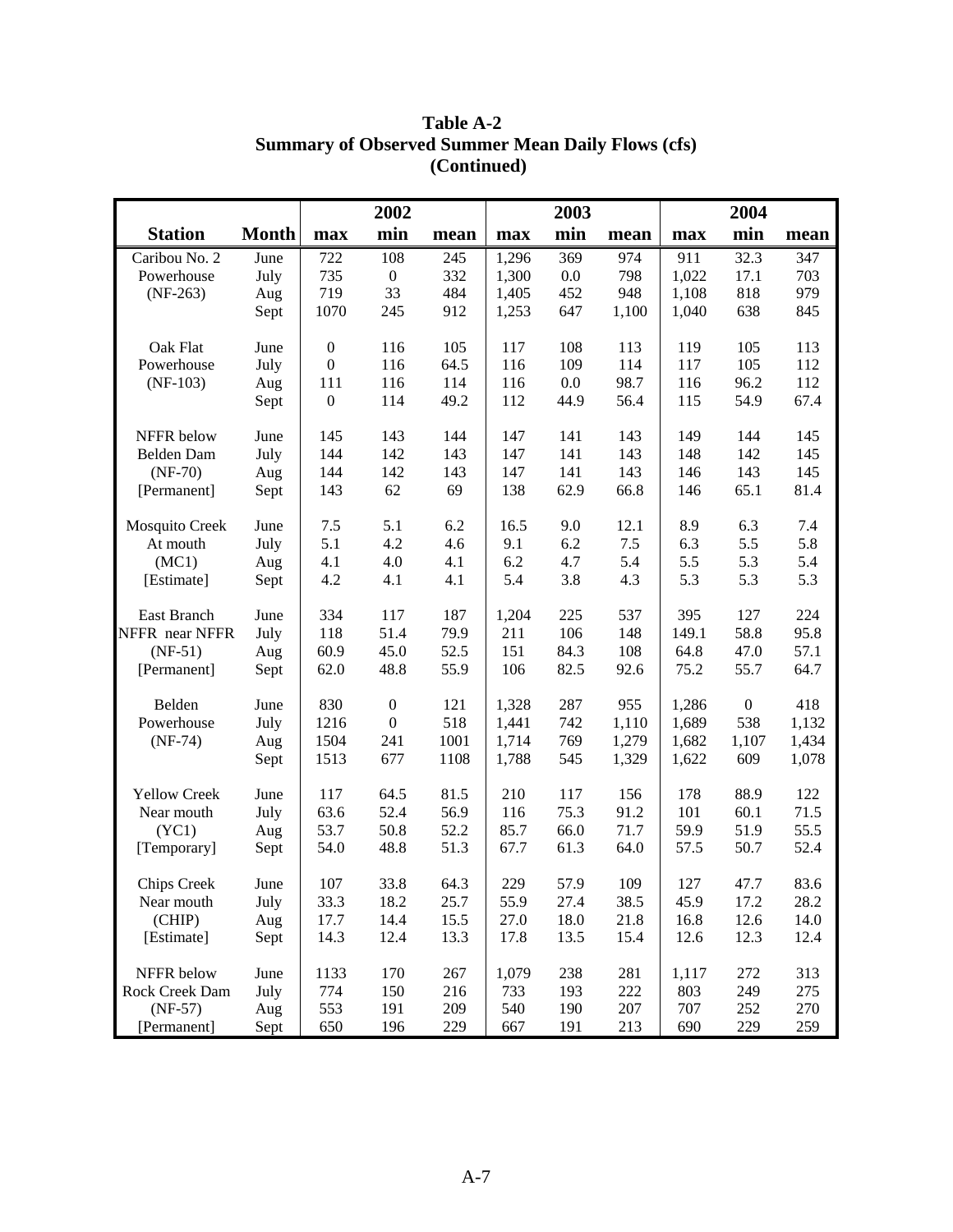|                     |              |                  | 2002             |      |       | 2003    |       |       | 2004             |       |
|---------------------|--------------|------------------|------------------|------|-------|---------|-------|-------|------------------|-------|
| <b>Station</b>      | <b>Month</b> | max              | min              | mean | max   | min     | mean  | max   | min              | mean  |
| Caribou No. 2       | June         | 722              | 108              | 245  | 1,296 | 369     | 974   | 911   | 32.3             | 347   |
| Powerhouse          | July         | 735              | $\boldsymbol{0}$ | 332  | 1,300 | $0.0\,$ | 798   | 1,022 | 17.1             | 703   |
| $(NF-263)$          | Aug          | 719              | 33               | 484  | 1,405 | 452     | 948   | 1,108 | 818              | 979   |
|                     | Sept         | 1070             | 245              | 912  | 1,253 | 647     | 1,100 | 1,040 | 638              | 845   |
| Oak Flat            | June         | $\boldsymbol{0}$ | 116              | 105  | 117   | 108     | 113   | 119   | 105              | 113   |
| Powerhouse          | July         | $\boldsymbol{0}$ | 116              | 64.5 | 116   | 109     | 114   | 117   | 105              | 112   |
| $(NF-103)$          | Aug          | 111              | 116              | 114  | 116   | 0.0     | 98.7  | 116   | 96.2             | 112   |
|                     | Sept         | $\boldsymbol{0}$ | 114              | 49.2 | 112   | 44.9    | 56.4  | 115   | 54.9             | 67.4  |
|                     |              |                  |                  |      |       |         |       |       |                  |       |
| NFFR below          | June         | 145              | 143              | 144  | 147   | 141     | 143   | 149   | 144              | 145   |
| Belden Dam          | July         | 144              | 142              | 143  | 147   | 141     | 143   | 148   | 142              | 145   |
| $(NF-70)$           | Aug          | 144              | 142              | 143  | 147   | 141     | 143   | 146   | 143              | 145   |
| [Permanent]         | Sept         | 143              | 62               | 69   | 138   | 62.9    | 66.8  | 146   | 65.1             | 81.4  |
| Mosquito Creek      | June         | 7.5              | 5.1              | 6.2  | 16.5  | 9.0     | 12.1  | 8.9   | 6.3              | 7.4   |
| At mouth            | July         | 5.1              | 4.2              | 4.6  | 9.1   | 6.2     | $7.5$ | 6.3   | 5.5              | 5.8   |
| (MC1)               | Aug          | 4.1              | 4.0              | 4.1  | 6.2   | 4.7     | 5.4   | 5.5   | 5.3              | 5.4   |
| [Estimate]          | Sept         | 4.2              | 4.1              | 4.1  | 5.4   | 3.8     | 4.3   | 5.3   | 5.3              | 5.3   |
|                     |              |                  |                  |      |       |         |       |       |                  |       |
| East Branch         | June         | 334              | 117              | 187  | 1,204 | 225     | 537   | 395   | 127              | 224   |
| NFFR near NFFR      | July         | 118              | 51.4             | 79.9 | 211   | 106     | 148   | 149.1 | 58.8             | 95.8  |
| $(NF-51)$           | Aug          | 60.9             | 45.0             | 52.5 | 151   | 84.3    | 108   | 64.8  | 47.0             | 57.1  |
| [Permanent]         | Sept         | 62.0             | 48.8             | 55.9 | 106   | 82.5    | 92.6  | 75.2  | 55.7             | 64.7  |
| Belden              | June         | 830              | $\boldsymbol{0}$ | 121  | 1,328 | 287     | 955   | 1,286 | $\boldsymbol{0}$ | 418   |
| Powerhouse          | July         | 1216             | $\boldsymbol{0}$ | 518  | 1,441 | 742     | 1,110 | 1,689 | 538              | 1,132 |
| $(NF-74)$           | Aug          | 1504             | 241              | 1001 | 1,714 | 769     | 1,279 | 1,682 | 1,107            | 1,434 |
|                     | Sept         | 1513             | 677              | 1108 | 1,788 | 545     | 1,329 | 1,622 | 609              | 1,078 |
|                     |              |                  |                  |      |       |         |       |       |                  |       |
| <b>Yellow Creek</b> | June         | 117              | 64.5             | 81.5 | 210   | 117     | 156   | 178   | 88.9             | 122   |
| Near mouth          | July         | 63.6             | 52.4             | 56.9 | 116   | 75.3    | 91.2  | 101   | 60.1             | 71.5  |
| (YC1)               | Aug          | 53.7             | 50.8             | 52.2 | 85.7  | 66.0    | 71.7  | 59.9  | 51.9             | 55.5  |
| [Temporary]         | Sept         | 54.0             | 48.8             | 51.3 | 67.7  | 61.3    | 64.0  | 57.5  | 50.7             | 52.4  |
| <b>Chips Creek</b>  | June         | 107              | 33.8             | 64.3 | 229   | 57.9    | 109   | 127   | 47.7             | 83.6  |
| Near mouth          | July         | 33.3             | 18.2             | 25.7 | 55.9  | 27.4    | 38.5  | 45.9  | 17.2             | 28.2  |
| (CHIP)              | Aug          | 17.7             | 14.4             | 15.5 | 27.0  | 18.0    | 21.8  | 16.8  | 12.6             | 14.0  |
| [Estimate]          | Sept         | 14.3             | 12.4             | 13.3 | 17.8  | 13.5    | 15.4  | 12.6  | 12.3             | 12.4  |
|                     |              |                  |                  |      |       |         |       |       |                  |       |
| NFFR below          | June         | 1133             | 170              | 267  | 1,079 | 238     | 281   | 1,117 | 272              | 313   |
| Rock Creek Dam      | July         | 774              | 150              | 216  | 733   | 193     | 222   | 803   | 249              | 275   |
| $(NF-57)$           | Aug          | 553              | 191              | 209  | 540   | 190     | 207   | 707   | 252              | 270   |
| [Permanent]         | Sept         | 650              | 196              | 229  | 667   | 191     | 213   | 690   | 229              | 259   |

## **Table A-2 Summary of Observed Summer Mean Daily Flows (cfs) (Continued)**